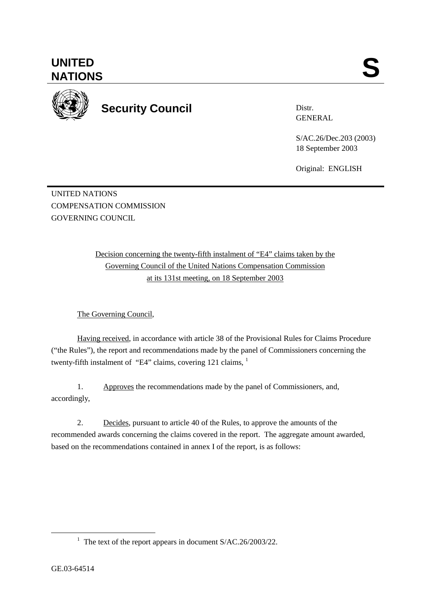**UNITED**  UNITED SANTIONS



**Security Council** 

Distr. GENERAL

S/AC.26/Dec.203 (2003) 18 September 2003

Original: ENGLISH

UNITED NATIONS COMPENSATION COMMISSION GOVERNING COUNCIL

> Decision concerning the twenty-fifth instalment of "E4" claims taken by the Governing Council of the United Nations Compensation Commission at its 131st meeting, on 18 September 2003

The Governing Council,

Having received, in accordance with article 38 of the Provisional Rules for Claims Procedure ("the Rules"), the report and recommendations made by the panel of Commissioners concerning the twenty-fifth instalment of "E4" claims, covering  $121$  claims,  $1$ 

1. Approves the recommendations made by the panel of Commissioners, and, accordingly,

2. Decides, pursuant to article 40 of the Rules, to approve the amounts of the recommended awards concerning the claims covered in the report. The aggregate amount awarded, based on the recommendations contained in annex I of the report, is as follows:

<sup>&</sup>lt;u>1</u> <sup>1</sup> The text of the report appears in document  $S/AC.26/2003/22$ .